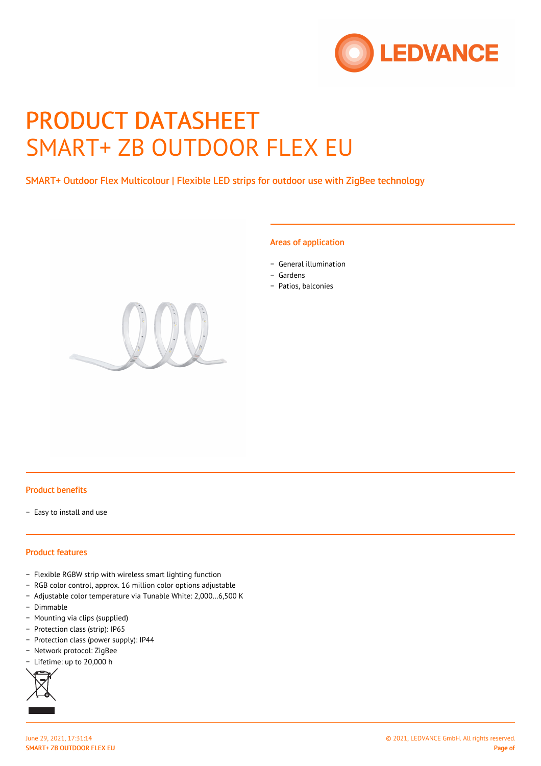

# PRODUCT DATASHEET SMART+ ZB OUTDOOR FLEX EU

SMART+ Outdoor Flex Multicolour | Flexible LED strips for outdoor use with ZigBee technology

#### Areas of application

- − General illumination
- − Gardens
- − Patios, balconies



#### Product benefits

− Easy to install and use

## Product features

- − Flexible RGBW strip with wireless smart lighting function
- − RGB color control, approx. 16 million color options adjustable
- − Adjustable color temperature via Tunable White: 2,000…6,500 K
- − Dimmable
- − Mounting via clips (supplied)
- − Protection class (strip): IP65
- − Protection class (power supply): IP44
- − Network protocol: ZigBee
- Lifetime: up to 20,000 h



SMART+ ZB OUTDOOR FLEX EU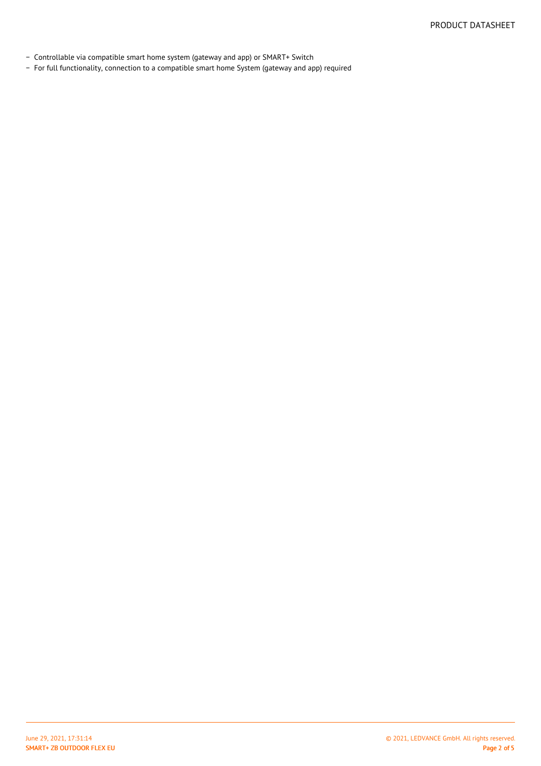- − Controllable via compatible smart home system (gateway and app) or SMART+ Switch
- − For full functionality, connection to a compatible smart home System (gateway and app) required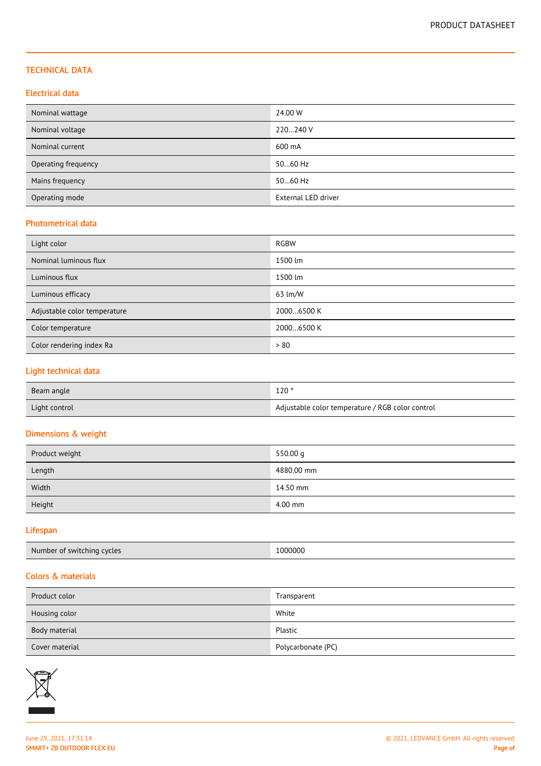## TECHNICAL DATA

## Electrical data

| Nominal wattage     | 24.00 W             |
|---------------------|---------------------|
| Nominal voltage     | 220240 V            |
| Nominal current     | 600 mA              |
| Operating frequency | 5060 Hz             |
| Mains frequency     | 5060 Hz             |
| Operating mode      | External LED driver |

## Photometrical data

| Light color                  | <b>RGBW</b> |
|------------------------------|-------------|
| Nominal luminous flux        | 1500 lm     |
| Luminous flux                | 1500 lm     |
| Luminous efficacy            | 63 lm/W     |
| Adjustable color temperature | 20006500 K  |
| Color temperature            | 20006500 K  |
| Color rendering index Ra     | > 80        |

## Light technical data

| Beam angle    | 120°                                             |
|---------------|--------------------------------------------------|
| Light control | Adjustable color temperature / RGB color control |

## Dimensions & weight

| Product weight | 550.00 g   |
|----------------|------------|
| Length         | 4880.00 mm |
| Width          | 14.50 mm   |
| Height         | 4.00 mm    |

## Lifespan

| Number of switching cycles | .000000 |
|----------------------------|---------|
|----------------------------|---------|

## Colors & materials

| Product color  | Transparent        |
|----------------|--------------------|
| Housing color  | White              |
| Body material  | Plastic            |
| Cover material | Polycarbonate (PC) |

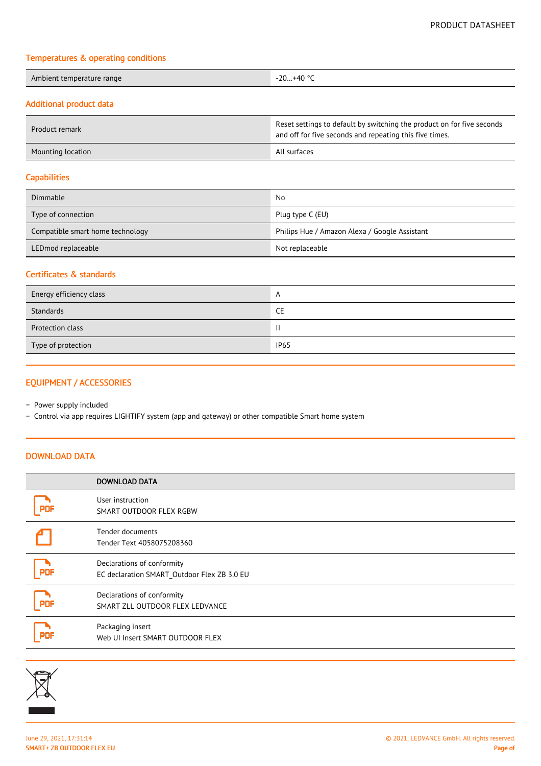#### Temperatures & operating conditions

| Ambient temperature range | …+40 ° <sup>∽</sup><br>$-20$<br>.<br>$\sim$ |
|---------------------------|---------------------------------------------|
|                           |                                             |

## Additional product data

| Product remark    | Reset settings to default by switching the product on for five seconds<br>and off for five seconds and repeating this five times. |
|-------------------|-----------------------------------------------------------------------------------------------------------------------------------|
| Mounting location | All surfaces                                                                                                                      |

## **Capabilities**

| Dimmable                         | No                                            |  |
|----------------------------------|-----------------------------------------------|--|
| Type of connection               | Plug type C (EU)                              |  |
| Compatible smart home technology | Philips Hue / Amazon Alexa / Google Assistant |  |
| LEDmod replaceable               | Not replaceable                               |  |

## Certificates & standards

| Energy efficiency class | A           |
|-------------------------|-------------|
| Standards               | <b>CE</b>   |
| Protection class        | Ш           |
| Type of protection      | <b>IP65</b> |

## EQUIPMENT / ACCESSORIES

− Power supply included

− Control via app requires LIGHTIFY system (app and gateway) or other compatible Smart home system

## DOWNLOAD DATA

|            | <b>DOWNLOAD DATA</b>                                                      |
|------------|---------------------------------------------------------------------------|
|            | User instruction<br>SMART OUTDOOR FLEX RGBW                               |
|            | Tender documents<br>Tender Text 4058075208360                             |
| <b>PDF</b> | Declarations of conformity<br>EC declaration SMART_Outdoor Flex ZB 3.0 EU |
| <b>PDF</b> | Declarations of conformity<br>SMART ZLL OUTDOOR FLEX LEDVANCE             |
|            | Packaging insert<br>Web UI Insert SMART OUTDOOR FLEX                      |